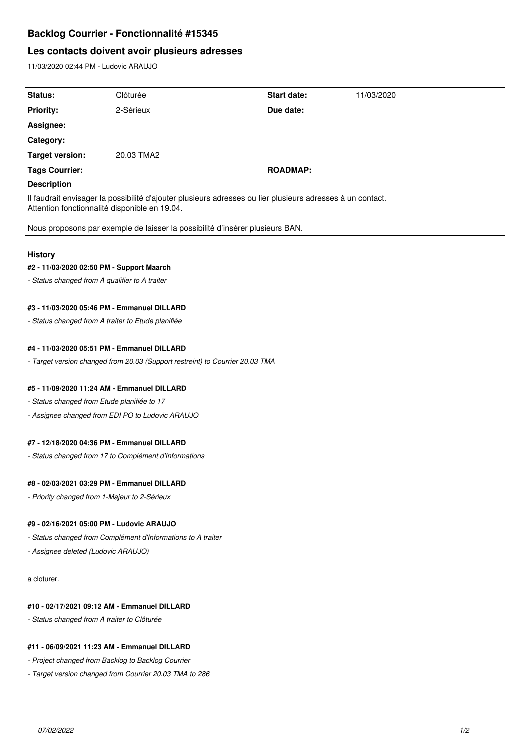# **Backlog Courrier - Fonctionnalité #15345**

# **Les contacts doivent avoir plusieurs adresses**

11/03/2020 02:44 PM - Ludovic ARAUJO

| Status:                                                                                                                                                     | Clôturée   | <b>Start date:</b> | 11/03/2020 |
|-------------------------------------------------------------------------------------------------------------------------------------------------------------|------------|--------------------|------------|
| <b>Priority:</b>                                                                                                                                            | 2-Sérieux  | Due date:          |            |
| Assignee:                                                                                                                                                   |            |                    |            |
| <b>Category:</b>                                                                                                                                            |            |                    |            |
| Target version:                                                                                                                                             | 20.03 TMA2 |                    |            |
| Tags Courrier:                                                                                                                                              |            | <b>ROADMAP:</b>    |            |
| Description                                                                                                                                                 |            |                    |            |
| Il faudrait envisager la possibilité d'ajouter plusieurs adresses ou lier plusieurs adresses à un contact.<br>Attention fonctionnalité disponible en 19.04. |            |                    |            |
| Nous proposons par exemple de laisser la possibilité d'insérer plusieurs BAN.                                                                               |            |                    |            |

#### **History**

#### **#2 - 11/03/2020 02:50 PM - Support Maarch**

*- Status changed from A qualifier to A traiter*

## **#3 - 11/03/2020 05:46 PM - Emmanuel DILLARD**

*- Status changed from A traiter to Etude planifiée*

### **#4 - 11/03/2020 05:51 PM - Emmanuel DILLARD**

*- Target version changed from 20.03 (Support restreint) to Courrier 20.03 TMA*

### **#5 - 11/09/2020 11:24 AM - Emmanuel DILLARD**

*- Status changed from Etude planifiée to 17*

*- Assignee changed from EDI PO to Ludovic ARAUJO*

## **#7 - 12/18/2020 04:36 PM - Emmanuel DILLARD**

*- Status changed from 17 to Complément d'Informations*

## **#8 - 02/03/2021 03:29 PM - Emmanuel DILLARD**

*- Priority changed from 1-Majeur to 2-Sérieux*

#### **#9 - 02/16/2021 05:00 PM - Ludovic ARAUJO**

*- Status changed from Complément d'Informations to A traiter*

*- Assignee deleted (Ludovic ARAUJO)*

a cloturer.

#### **#10 - 02/17/2021 09:12 AM - Emmanuel DILLARD**

*- Status changed from A traiter to Clôturée*

## **#11 - 06/09/2021 11:23 AM - Emmanuel DILLARD**

- *Project changed from Backlog to Backlog Courrier*
- *Target version changed from Courrier 20.03 TMA to 286*